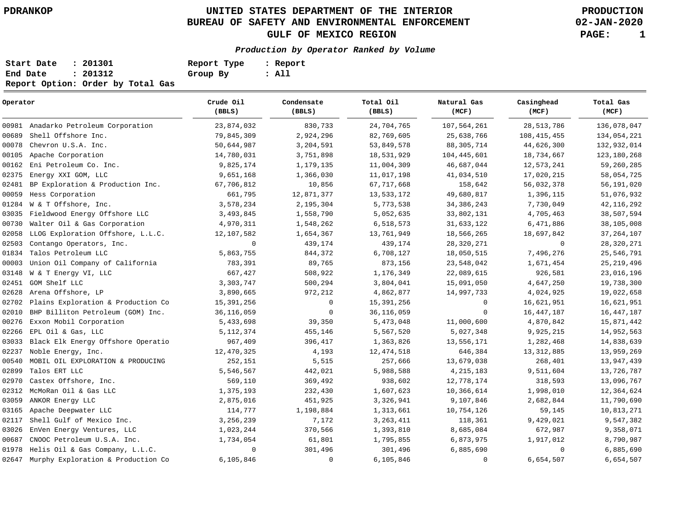# **UNITED STATES DEPARTMENT OF THE INTERIOR PDRANKOP PRODUCTION BUREAU OF SAFETY AND ENVIRONMENTAL ENFORCEMENT GULF OF MEXICO REGION PAGE: 1**

**02-JAN-2020**

#### **Production by Operator Ranked by Volume**

| Start Date | : 201301                          | Report Type | : Report |
|------------|-----------------------------------|-------------|----------|
| End Date   | : 201312                          | Group By    | : All    |
|            | Report Option: Order by Total Gas |             |          |

| Operator                                    | Crude Oil<br>(BBLS) | Condensate<br>(BBLS) | Total Oil<br>(BBLS) | Natural Gas<br>(MCF) | Casinghead<br>(MCF) | Total Gas<br>(MCF) |
|---------------------------------------------|---------------------|----------------------|---------------------|----------------------|---------------------|--------------------|
| 00981 Anadarko Petroleum Corporation        | 23,874,032          | 830,733              | 24,704,765          | 107,564,261          | 28, 513, 786        | 136,078,047        |
| 00689<br>Shell Offshore Inc.                | 79,845,309          | 2,924,296            | 82,769,605          | 25,638,766           | 108, 415, 455       | 134,054,221        |
| 00078<br>Chevron U.S.A. Inc.                | 50,644,987          | 3,204,591            | 53,849,578          | 88, 305, 714         | 44,626,300          | 132,932,014        |
| Apache Corporation<br>00105                 | 14,780,031          | 3,751,898            | 18,531,929          | 104, 445, 601        | 18,734,667          | 123, 180, 268      |
| 00162<br>Eni Petroleum Co. Inc.             | 9,825,174           | 1,179,135            | 11,004,309          | 46,687,044           | 12,573,241          | 59,260,285         |
| 02375<br>Energy XXI GOM, LLC                | 9,651,168           | 1,366,030            | 11,017,198          | 41,034,510           | 17,020,215          | 58,054,725         |
| BP Exploration & Production Inc.<br>02481   | 67,706,812          | 10,856               | 67,717,668          | 158,642              | 56,032,378          | 56, 191, 020       |
| 00059<br>Hess Corporation                   | 661,795             | 12,871,377           | 13,533,172          | 49,680,817           | 1,396,115           | 51,076,932         |
| W & T Offshore, Inc.<br>01284               | 3,578,234           | 2,195,304            | 5,773,538           | 34, 386, 243         | 7,730,049           | 42, 116, 292       |
| Fieldwood Energy Offshore LLC<br>03035      | 3,493,845           | 1,558,790            | 5,052,635           | 33,802,131           | 4,705,463           | 38,507,594         |
| Walter Oil & Gas Corporation<br>00730       | 4,970,311           | 1,548,262            | 6,518,573           | 31,633,122           | 6,471,886           | 38,105,008         |
| LLOG Exploration Offshore, L.L.C.<br>02058  | 12,107,582          | 1,654,367            | 13,761,949          | 18,566,265           | 18,697,842          | 37, 264, 107       |
| 02503<br>Contango Operators, Inc.           | $\mathbf 0$         | 439,174              | 439,174             | 28, 320, 271         | $\mathbf 0$         | 28, 320, 271       |
| Talos Petroleum LLC<br>01834                | 5,863,755           | 844,372              | 6,708,127           | 18,050,515           | 7,496,276           | 25,546,791         |
| Union Oil Company of California<br>00003    | 783,391             | 89,765               | 873,156             | 23,548,042           | 1,671,454           | 25, 219, 496       |
| W & T Energy VI, LLC<br>03148               | 667,427             | 508,922              | 1,176,349           | 22,089,615           | 926,581             | 23,016,196         |
| GOM Shelf LLC<br>02451                      | 3,303,747           | 500,294              | 3,804,041           | 15,091,050           | 4,647,250           | 19,738,300         |
| Arena Offshore, LP<br>02628                 | 3,890,665           | 972,212              | 4,862,877           | 14,997,733           | 4,024,925           | 19,022,658         |
| 02702<br>Plains Exploration & Production Co | 15,391,256          | $\mathbf 0$          | 15,391,256          | 0                    | 16,621,951          | 16,621,951         |
| BHP Billiton Petroleum (GOM) Inc.<br>02010  | 36, 116, 059        | 0                    | 36, 116, 059        | $\mathbf 0$          | 16,447,187          | 16, 447, 187       |
| 00276<br>Exxon Mobil Corporation            | 5,433,698           | 39,350               | 5,473,048           | 11,000,600           | 4,870,842           | 15,871,442         |
| 02266<br>EPL Oil & Gas, LLC                 | 5, 112, 374         | 455,146              | 5,567,520           | 5,027,348            | 9,925,215           | 14,952,563         |
| Black Elk Energy Offshore Operatio<br>03033 | 967,409             | 396,417              | 1,363,826           | 13,556,171           | 1,282,468           | 14,838,639         |
| 02237<br>Noble Energy, Inc.                 | 12,470,325          | 4,193                | 12, 474, 518        | 646,384              | 13, 312, 885        | 13,959,269         |
| 00540<br>MOBIL OIL EXPLORATION & PRODUCING  | 252,151             | 5,515                | 257,666             | 13,679,038           | 268,401             | 13,947,439         |
| 02899<br>Talos ERT LLC                      | 5,546,567           | 442,021              | 5,988,588           | 4, 215, 183          | 9,511,604           | 13,726,787         |
| 02970<br>Castex Offshore, Inc.              | 569,110             | 369,492              | 938,602             | 12,778,174           | 318,593             | 13,096,767         |
| 02312<br>McMoRan Oil & Gas LLC              | 1,375,193           | 232,430              | 1,607,623           | 10,366,614           | 1,998,010           | 12,364,624         |
| 03059<br>ANKOR Energy LLC                   | 2,875,016           | 451,925              | 3,326,941           | 9,107,846            | 2,682,844           | 11,790,690         |
| 03165<br>Apache Deepwater LLC               | 114,777             | 1,198,884            | 1,313,661           | 10,754,126           | 59,145              | 10,813,271         |
| 02117<br>Shell Gulf of Mexico Inc.          | 3,256,239           | 7,172                | 3, 263, 411         | 118,361              | 9,429,021           | 9,547,382          |
| 03026<br>EnVen Energy Ventures, LLC         | 1,023,244           | 370,566              | 1,393,810           | 8,685,084            | 672,987             | 9,358,071          |
| 00687<br>CNOOC Petroleum U.S.A. Inc.        | 1,734,054           | 61,801               | 1,795,855           | 6,873,975            | 1,917,012           | 8,790,987          |
| 01978<br>Helis Oil & Gas Company, L.L.C.    | $\mathbf 0$         | 301,496              | 301,496             | 6,885,690            | $\mathbf 0$         | 6,885,690          |
| 02647 Murphy Exploration & Production Co    | 6,105,846           | 0                    | 6,105,846           | $\mathbf 0$          | 6,654,507           | 6,654,507          |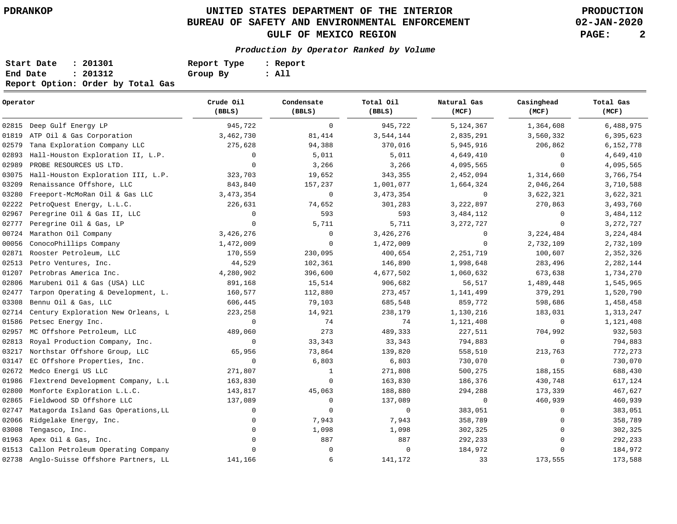# **UNITED STATES DEPARTMENT OF THE INTERIOR PDRANKOP PRODUCTION BUREAU OF SAFETY AND ENVIRONMENTAL ENFORCEMENT GULF OF MEXICO REGION PAGE: 2**

**02-JAN-2020**

**Production by Operator Ranked by Volume**

| Start Date | : 201301                          | Report Type | : Report |
|------------|-----------------------------------|-------------|----------|
| End Date   | : 201312                          | Group By    | : All    |
|            | Report Option: Order by Total Gas |             |          |

| Operator |                                          | Crude Oil<br>(BBLS) | Condensate<br>(BBLS) | Total Oil<br>(BBLS) | Natural Gas<br>(MCF) | Casinghead<br>(MCF) | Total Gas<br>(MCF) |
|----------|------------------------------------------|---------------------|----------------------|---------------------|----------------------|---------------------|--------------------|
| 02815    | Deep Gulf Energy LP                      | 945,722             | $\mathsf{O}$         | 945,722             | 5,124,367            | 1,364,608           | 6,488,975          |
| 01819    | ATP Oil & Gas Corporation                | 3,462,730           | 81,414               | 3,544,144           | 2,835,291            | 3,560,332           | 6,395,623          |
| 02579    | Tana Exploration Company LLC             | 275,628             | 94,388               | 370,016             | 5,945,916            | 206,862             | 6,152,778          |
| 02893    | Hall-Houston Exploration II, L.P.        | $\mathbf 0$         | 5,011                | 5,011               | 4,649,410            | $\Omega$            | 4,649,410          |
| 02989    | PROBE RESOURCES US LTD.                  | $\mathbf 0$         | 3,266                | 3,266               | 4,095,565            | $\Omega$            | 4,095,565          |
| 03075    | Hall-Houston Exploration III, L.P.       | 323,703             | 19,652               | 343,355             | 2,452,094            | 1,314,660           | 3,766,754          |
| 03209    | Renaissance Offshore, LLC                | 843,840             | 157,237              | 1,001,077           | 1,664,324            | 2,046,264           | 3,710,588          |
| 03280    | Freeport-McMoRan Oil & Gas LLC           | 3, 473, 354         | 0                    | 3, 473, 354         | $\mathbf 0$          | 3,622,321           | 3,622,321          |
| 02222    | PetroQuest Energy, L.L.C.                | 226,631             | 74,652               | 301,283             | 3,222,897            | 270,863             | 3,493,760          |
| 02967    | Peregrine Oil & Gas II, LLC              | $\mathbf 0$         | 593                  | 593                 | 3,484,112            | 0                   | 3,484,112          |
| 02777    | Peregrine Oil & Gas, LP                  | $\mathbf{0}$        | 5,711                | 5,711               | 3, 272, 727          | $\mathbf 0$         | 3, 272, 727        |
| 00724    | Marathon Oil Company                     | 3,426,276           | 0                    | 3,426,276           | $\mathbf 0$          | 3,224,484           | 3, 224, 484        |
| 00056    | ConocoPhillips Company                   | 1,472,009           | $\mathbf 0$          | 1,472,009           | $\mathbf 0$          | 2,732,109           | 2,732,109          |
| 02871    | Rooster Petroleum, LLC                   | 170,559             | 230,095              | 400,654             | 2, 251, 719          | 100,607             | 2,352,326          |
| 02513    | Petro Ventures, Inc.                     | 44,529              | 102,361              | 146,890             | 1,998,648            | 283,496             | 2,282,144          |
| 01207    | Petrobras America Inc.                   | 4,280,902           | 396,600              | 4,677,502           | 1,060,632            | 673,638             | 1,734,270          |
| 02806    | Marubeni Oil & Gas (USA) LLC             | 891,168             | 15,514               | 906,682             | 56,517               | 1,489,448           | 1,545,965          |
| 02477    | Tarpon Operating & Development, L.       | 160,577             | 112,880              | 273,457             | 1,141,499            | 379,291             | 1,520,790          |
| 03308    | Bennu Oil & Gas, LLC                     | 606,445             | 79,103               | 685,548             | 859,772              | 598,686             | 1,458,458          |
| 02714    | Century Exploration New Orleans, L       | 223,258             | 14,921               | 238,179             | 1,130,216            | 183,031             | 1,313,247          |
| 01586    | Petsec Energy Inc.                       | $\mathbf 0$         | 74                   | 74                  | 1,121,408            | 0                   | 1,121,408          |
| 02957    | MC Offshore Petroleum, LLC               | 489,060             | 273                  | 489,333             | 227,511              | 704,992             | 932,503            |
| 02813    | Royal Production Company, Inc.           | 0                   | 33,343               | 33,343              | 794,883              | $\mathbf 0$         | 794,883            |
| 03217    | Northstar Offshore Group, LLC            | 65,956              | 73,864               | 139,820             | 558,510              | 213,763             | 772,273            |
| 03147    | EC Offshore Properties, Inc.             | $\mathbf 0$         | 6,803                | 6,803               | 730,070              | $\mathbf 0$         | 730,070            |
| 02672    | Medco Energi US LLC                      | 271,807             | $\mathbf{1}$         | 271,808             | 500,275              | 188,155             | 688,430            |
| 01986    | Flextrend Development Company, L.L.      | 163,830             | 0                    | 163,830             | 186,376              | 430,748             | 617,124            |
| 02800    | Monforte Exploration L.L.C.              | 143,817             | 45,063               | 188,880             | 294,288              | 173,339             | 467,627            |
| 02865    | Fieldwood SD Offshore LLC                | 137,089             | 0                    | 137,089             | $\mathbf 0$          | 460,939             | 460,939            |
| 02747    | Matagorda Island Gas Operations, LL      | 0                   | $\mathbf 0$          | $\mathsf{O}$        | 383,051              | $\mathbf 0$         | 383,051            |
| 02066    | Ridgelake Energy, Inc.                   | 0                   | 7,943                | 7,943               | 358,789              | $\mathbf 0$         | 358,789            |
| 03008    | Tengasco, Inc.                           | $\mathbf{0}$        | 1,098                | 1,098               | 302,325              | $\mathbf 0$         | 302,325            |
| 01963    | Apex Oil & Gas, Inc.                     | $\mathbf 0$         | 887                  | 887                 | 292,233              | $\mathbf 0$         | 292,233            |
| 01513    | Callon Petroleum Operating Company       | $\Omega$            | $\Omega$             | $\mathbf 0$         | 184,972              | $\Omega$            | 184,972            |
|          | 02738 Anglo-Suisse Offshore Partners, LL | 141,166             | 6                    | 141,172             | 33                   | 173,555             | 173,588            |